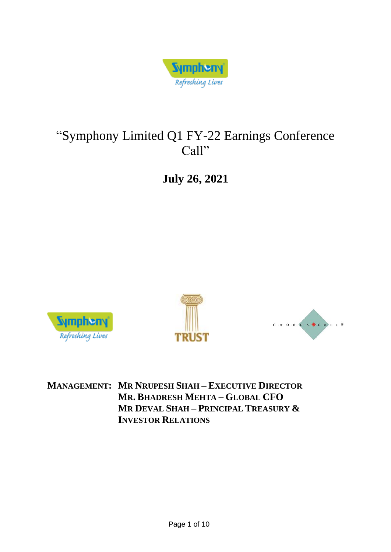

# "Symphony Limited Q1 FY-22 Earnings Conference Call"

**July 26, 2021**







**MANAGEMENT: MR NRUPESH SHAH – EXECUTIVE DIRECTOR MR. BHADRESH MEHTA – GLOBAL CFO MR DEVAL SHAH – PRINCIPAL TREASURY & INVESTOR RELATIONS**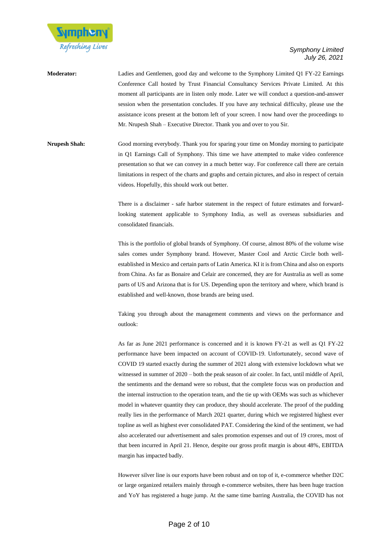

**Moderator:** Ladies and Gentlemen, good day and welcome to the Symphony Limited Q1 FY-22 Earnings Conference Call hosted by Trust Financial Consultancy Services Private Limited. At this moment all participants are in listen only mode. Later we will conduct a question-and-answer session when the presentation concludes. If you have any technical difficulty, please use the assistance icons present at the bottom left of your screen. I now hand over the proceedings to Mr. Nrupesh Shah – Executive Director. Thank you and over to you Sir.

**Nrupesh Shah:** Good morning everybody. Thank you for sparing your time on Monday morning to participate in Q1 Earnings Call of Symphony. This time we have attempted to make video conference presentation so that we can convey in a much better way. For conference call there are certain limitations in respect of the charts and graphs and certain pictures, and also in respect of certain videos. Hopefully, this should work out better.

> There is a disclaimer - safe harbor statement in the respect of future estimates and forwardlooking statement applicable to Symphony India, as well as overseas subsidiaries and consolidated financials.

> This is the portfolio of global brands of Symphony. Of course, almost 80% of the volume wise sales comes under Symphony brand. However, Master Cool and Arctic Circle both wellestablished in Mexico and certain parts of Latin America. KI it is from China and also on exports from China. As far as Bonaire and Celair are concerned, they are for Australia as well as some parts of US and Arizona that is for US. Depending upon the territory and where, which brand is established and well-known, those brands are being used.

> Taking you through about the management comments and views on the performance and outlook:

> As far as June 2021 performance is concerned and it is known FY-21 as well as Q1 FY-22 performance have been impacted on account of COVID-19. Unfortunately, second wave of COVID 19 started exactly during the summer of 2021 along with extensive lockdown what we witnessed in summer of 2020 – both the peak season of air cooler. In fact, until middle of April, the sentiments and the demand were so robust, that the complete focus was on production and the internal instruction to the operation team, and the tie up with OEMs was such as whichever model in whatever quantity they can produce, they should accelerate. The proof of the pudding really lies in the performance of March 2021 quarter, during which we registered highest ever topline as well as highest ever consolidated PAT. Considering the kind of the sentiment, we had also accelerated our advertisement and sales promotion expenses and out of 19 crores, most of that been incurred in April 21. Hence, despite our gross profit margin is about 48%, EBITDA margin has impacted badly.

> However silver line is our exports have been robust and on top of it, e-commerce whether D2C or large organized retailers mainly through e-commerce websites, there has been huge traction and YoY has registered a huge jump. At the same time barring Australia, the COVID has not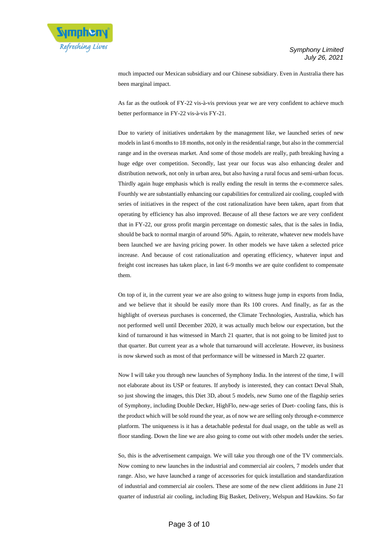

much impacted our Mexican subsidiary and our Chinese subsidiary. Even in Australia there has been marginal impact.

As far as the outlook of FY-22 vis-à-vis previous year we are very confident to achieve much better performance in FY-22 vis-à-vis FY-21.

Due to variety of initiatives undertaken by the management like, we launched series of new models in last 6 months to 18 months, not only in the residential range, but also in the commercial range and in the overseas market. And some of those models are really, path breaking having a huge edge over competition. Secondly, last year our focus was also enhancing dealer and distribution network, not only in urban area, but also having a rural focus and semi-urban focus. Thirdly again huge emphasis which is really ending the result in terms the e-commerce sales. Fourthly we are substantially enhancing our capabilities for centralized air cooling, coupled with series of initiatives in the respect of the cost rationalization have been taken, apart from that operating by efficiency has also improved. Because of all these factors we are very confident that in FY-22, our gross profit margin percentage on domestic sales, that is the sales in India, should be back to normal margin of around 50%. Again, to reiterate, whatever new models have been launched we are having pricing power. In other models we have taken a selected price increase. And because of cost rationalization and operating efficiency, whatever input and freight cost increases has taken place, in last 6-9 months we are quite confident to compensate them.

On top of it, in the current year we are also going to witness huge jump in exports from India, and we believe that it should be easily more than Rs 100 crores. And finally, as far as the highlight of overseas purchases is concerned, the Climate Technologies, Australia, which has not performed well until December 2020, it was actually much below our expectation, but the kind of turnaround it has witnessed in March 21 quarter, that is not going to be limited just to that quarter. But current year as a whole that turnaround will accelerate. However, its business is now skewed such as most of that performance will be witnessed in March 22 quarter.

Now I will take you through new launches of Symphony India. In the interest of the time, I will not elaborate about its USP or features. If anybody is interested, they can contact Deval Shah, so just showing the images, this Diet 3D, about 5 models, new Sumo one of the flagship series of Symphony, including Double Decker, HighFlo, new-age series of Duet- cooling fans, this is the product which will be sold round the year, as of now we are selling only through e-commerce platform. The uniqueness is it has a detachable pedestal for dual usage, on the table as well as floor standing. Down the line we are also going to come out with other models under the series.

So, this is the advertisement campaign. We will take you through one of the TV commercials. Now coming to new launches in the industrial and commercial air coolers, 7 models under that range. Also, we have launched a range of accessories for quick installation and standardization of industrial and commercial air coolers. These are some of the new client additions in June 21 quarter of industrial air cooling, including Big Basket, Delivery, Welspun and Hawkins. So far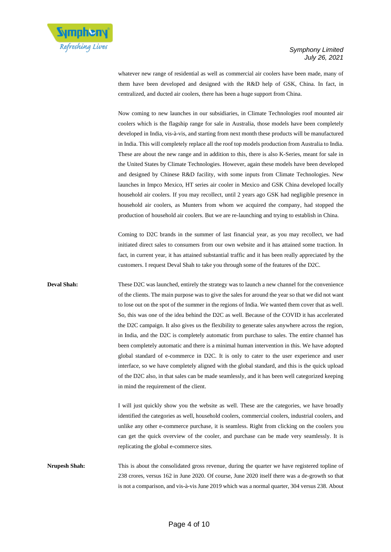

whatever new range of residential as well as commercial air coolers have been made, many of them have been developed and designed with the R&D help of GSK, China. In fact, in centralized, and ducted air coolers, there has been a huge support from China.

Now coming to new launches in our subsidiaries, in Climate Technologies roof mounted air coolers which is the flagship range for sale in Australia, those models have been completely developed in India, vis-à-vis, and starting from next month these products will be manufactured in India. This will completely replace all the roof top models production from Australia to India. These are about the new range and in addition to this, there is also K-Series, meant for sale in the United States by Climate Technologies. However, again these models have been developed and designed by Chinese R&D facility, with some inputs from Climate Technologies. New launches in Impco Mexico, HT series air cooler in Mexico and GSK China developed locally household air coolers. If you may recollect, until 2 years ago GSK had negligible presence in household air coolers, as Munters from whom we acquired the company, had stopped the production of household air coolers. But we are re-launching and trying to establish in China.

Coming to D2C brands in the summer of last financial year, as you may recollect, we had initiated direct sales to consumers from our own website and it has attained some traction. In fact, in current year, it has attained substantial traffic and it has been really appreciated by the customers. I request Deval Shah to take you through some of the features of the D2C.

**Deval Shah:** These D2C was launched, entirely the strategy was to launch a new channel for the convenience of the clients. The main purpose was to give the sales for around the year so that we did not want to lose out on the spot of the summer in the regions of India. We wanted them cover that as well. So, this was one of the idea behind the D2C as well. Because of the COVID it has accelerated the D2C campaign. It also gives us the flexibility to generate sales anywhere across the region, in India, and the D2C is completely automatic from purchase to sales. The entire channel has been completely automatic and there is a minimal human intervention in this. We have adopted global standard of e-commerce in D2C. It is only to cater to the user experience and user interface, so we have completely aligned with the global standard, and this is the quick upload of the D2C also, in that sales can be made seamlessly, and it has been well categorized keeping in mind the requirement of the client.

> I will just quickly show you the website as well. These are the categories, we have broadly identified the categories as well, household coolers, commercial coolers, industrial coolers, and unlike any other e-commerce purchase, it is seamless. Right from clicking on the coolers you can get the quick overview of the cooler, and purchase can be made very seamlessly. It is replicating the global e-commerce sites.

**Nrupesh Shah:** This is about the consolidated gross revenue, during the quarter we have registered topline of 238 crores, versus 162 in June 2020. Of course, June 2020 itself there was a de-growth so that is not a comparison, and vis-à-vis June 2019 which was a normal quarter, 304 versus 238. About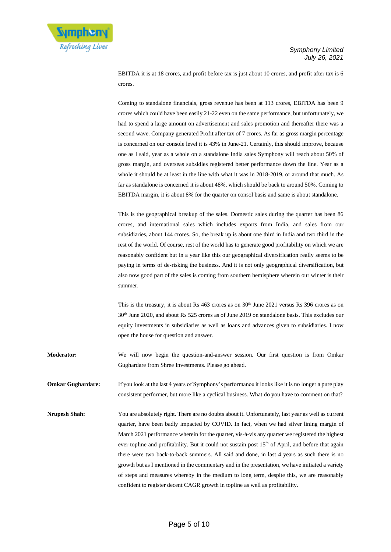

EBITDA it is at 18 crores, and profit before tax is just about 10 crores, and profit after tax is 6 crores.

Coming to standalone financials, gross revenue has been at 113 crores, EBITDA has been 9 crores which could have been easily 21-22 even on the same performance, but unfortunately, we had to spend a large amount on advertisement and sales promotion and thereafter there was a second wave. Company generated Profit after tax of 7 crores. As far as gross margin percentage is concerned on our console level it is 43% in June-21. Certainly, this should improve, because one as I said, year as a whole on a standalone India sales Symphony will reach about 50% of gross margin, and overseas subsidies registered better performance down the line. Year as a whole it should be at least in the line with what it was in 2018-2019, or around that much. As far as standalone is concerned it is about 48%, which should be back to around 50%. Coming to EBITDA margin, it is about 8% for the quarter on consol basis and same is about standalone.

This is the geographical breakup of the sales. Domestic sales during the quarter has been 86 crores, and international sales which includes exports from India, and sales from our subsidiaries, about 144 crores. So, the break up is about one third in India and two third in the rest of the world. Of course, rest of the world has to generate good profitability on which we are reasonably confident but in a year like this our geographical diversification really seems to be paying in terms of de-risking the business. And it is not only geographical diversification, but also now good part of the sales is coming from southern hemisphere wherein our winter is their summer.

This is the treasury, it is about Rs 463 crores as on 30<sup>th</sup> June 2021 versus Rs 396 crores as on 30th June 2020, and about Rs 525 crores as of June 2019 on standalone basis. This excludes our equity investments in subsidiaries as well as loans and advances given to subsidiaries. I now open the house for question and answer.

**Moderator:** We will now begin the question-and-answer session. Our first question is from Omkar Gughardare from Shree Investments. Please go ahead.

**Omkar Gughardare:** If you look at the last 4 years of Symphony's performance it looks like it is no longer a pure play consistent performer, but more like a cyclical business. What do you have to comment on that?

**Nrupesh Shah:** You are absolutely right. There are no doubts about it. Unfortunately, last year as well as current quarter, have been badly impacted by COVID. In fact, when we had silver lining margin of March 2021 performance wherein for the quarter, vis-à-vis any quarter we registered the highest ever topline and profitability. But it could not sustain post 15<sup>th</sup> of April, and before that again there were two back-to-back summers. All said and done, in last 4 years as such there is no growth but as I mentioned in the commentary and in the presentation, we have initiated a variety of steps and measures whereby in the medium to long term, despite this, we are reasonably confident to register decent CAGR growth in topline as well as profitability.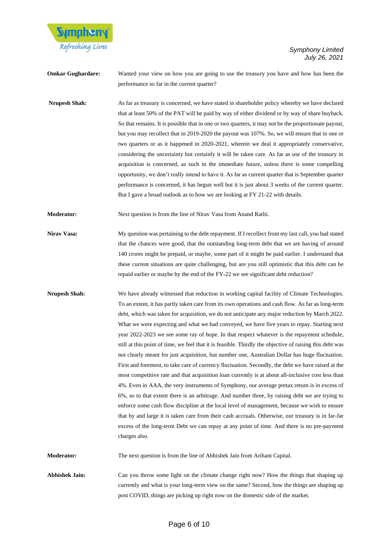

**Omkar Gughardare:** Wanted your view on how you are going to use the treasury you have and how has been the performance so far in the current quarter?

**Nrupesh Shah:** As far as treasury is concerned, we have stated in shareholder policy whereby we have declared that at least 50% of the PAT will be paid by way of either dividend or by way of share buyback. So that remains. It is possible that in one or two quarters, it may not be the proportionate payout, but you may recollect that in 2019-2020 the payout was 107%. So, we will ensure that in one or two quarters or as it happened in 2020-2021, wherein we deal it appropriately conservative, considering the uncertainty but certainly it will be taken care. As far as use of the treasury in acquisition is concerned, as such in the immediate future, unless there is some compelling opportunity, we don't really intend to have it. As far as current quarter that is September quarter performance is concerned, it has begun well but it is just about 3 weeks of the current quarter. But I gave a broad outlook as to how we are looking at FY 21-22 with details.

**Moderator:** Next question is from the line of Nirav Vasa from Anand Rathi.

- **Nirav Vasa:** My question was pertaining to the debt repayment. If I recollect from my last call, you had stated that the chances were good, that the outstanding long-term debt that we are having of around 140 crores might be prepaid, or maybe, some part of it might be paid earlier. I understand that these current situations are quite challenging, but are you still optimistic that this debt can be repaid earlier or maybe by the end of the FY-22 we see significant debt reduction?
- **Nrupesh Shah:** We have already witnessed that reduction in working capital facility of Climate Technologies. To an extent, it has partly taken care from its own operations and cash flow. As far as long-term debt, which was taken for acquisition, we do not anticipate any major reduction by March 2022. What we were expecting and what we had conveyed, we have five years to repay. Starting next year 2022-2023 we see some ray of hope. In that respect whatever is the repayment schedule, still at this point of time, we feel that it is feasible. Thirdly the objective of raising this debt was not clearly meant for just acquisition, but number one, Australian Dollar has huge fluctuation. First and foremost, to take care of currency fluctuation. Secondly, the debt we have raised at the most competitive rate and that acquisition loan currently is at about all-inclusive cost less than 4%. Even in AAA, the very instruments of Symphony, our average pretax return is in excess of 6%, so to that extent there is an arbitrage. And number three, by raising debt we are trying to enforce some cash flow discipline at the local level of management, because we wish to ensure that by and large it is taken care from their cash accruals. Otherwise, our treasury is in far-far excess of the long-term Debt we can repay at any point of time. And there is no pre-payment charges also.

**Moderator:** The next question is from the line of Abhishek Jain from Arihant Capital.

**Abhishek Jain:** Can you throw some light on the climate change right now? How the things that shaping up currently and what is your long-term view on the same? Second, how the things are shaping up post COVID, things are picking up right now on the domestic side of the market.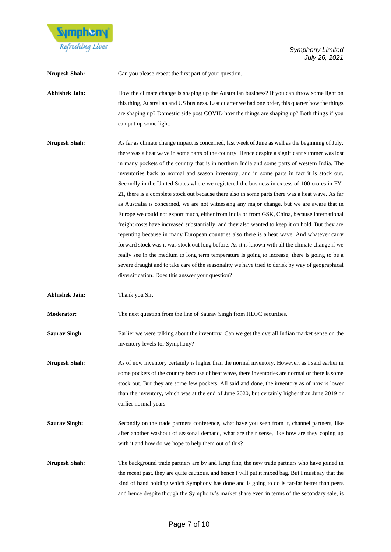

**Nrupesh Shah:** Can you please repeat the first part of your question.

Abhishek Jain: **How the climate change is shaping up the Australian business?** If you can throw some light on this thing, Australian and US business. Last quarter we had one order, this quarter how the things are shaping up? Domestic side post COVID how the things are shaping up? Both things if you can put up some light.

**Nrupesh Shah:** As far as climate change impact is concerned, last week of June as well as the beginning of July, there was a heat wave in some parts of the country. Hence despite a significant summer was lost in many pockets of the country that is in northern India and some parts of western India. The inventories back to normal and season inventory, and in some parts in fact it is stock out. Secondly in the United States where we registered the business in excess of 100 crores in FY-21, there is a complete stock out because there also in some parts there was a heat wave. As far as Australia is concerned, we are not witnessing any major change, but we are aware that in Europe we could not export much, either from India or from GSK, China, because international freight costs have increased substantially, and they also wanted to keep it on hold. But they are repenting because in many European countries also there is a heat wave. And whatever carry forward stock was it was stock out long before. As it is known with all the climate change if we really see in the medium to long term temperature is going to increase, there is going to be a severe draught and to take care of the seasonality we have tried to derisk by way of geographical diversification. Does this answer your question?

**Abhishek Jain:** Thank you Sir.

**Moderator:** The next question from the line of Saurav Singh from HDFC securities.

**Saurav Singh:** Earlier we were talking about the inventory. Can we get the overall Indian market sense on the inventory levels for Symphony?

**Nrupesh Shah:** As of now inventory certainly is higher than the normal inventory. However, as I said earlier in some pockets of the country because of heat wave, there inventories are normal or there is some stock out. But they are some few pockets. All said and done, the inventory as of now is lower than the inventory, which was at the end of June 2020, but certainly higher than June 2019 or earlier normal years.

- **Saurav Singh:** Secondly on the trade partners conference, what have you seen from it, channel partners, like after another washout of seasonal demand, what are their sense, like how are they coping up with it and how do we hope to help them out of this?
- **Nrupesh Shah:** The background trade partners are by and large fine, the new trade partners who have joined in the recent past, they are quite cautious, and hence I will put it mixed bag. But I must say that the kind of hand holding which Symphony has done and is going to do is far-far better than peers and hence despite though the Symphony's market share even in terms of the secondary sale, is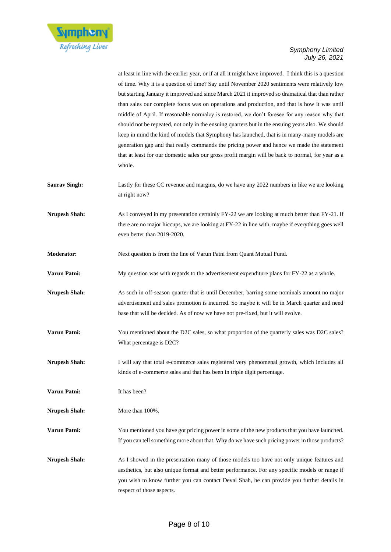

at least in line with the earlier year, or if at all it might have improved. I think this is a question of time. Why it is a question of time? Say until November 2020 sentiments were relatively low but starting January it improved and since March 2021 it improved so dramatical that than rather than sales our complete focus was on operations and production, and that is how it was until middle of April. If reasonable normalcy is restored, we don't foresee for any reason why that should not be repeated, not only in the ensuing quarters but in the ensuing years also. We should keep in mind the kind of models that Symphony has launched, that is in many-many models are generation gap and that really commands the pricing power and hence we made the statement that at least for our domestic sales our gross profit margin will be back to normal, for year as a whole.

- **Saurav Singh:** Lastly for these CC revenue and margins, do we have any 2022 numbers in like we are looking at right now?
- **Nrupesh Shah:** As I conveyed in my presentation certainly FY-22 we are looking at much better than FY-21. If there are no major hiccups, we are looking at FY-22 in line with, maybe if everything goes well even better than 2019-2020.
- **Moderator:** Next question is from the line of Varun Patni from Quant Mutual Fund.
- **Varun Patni:** My question was with regards to the advertisement expenditure plans for FY-22 as a whole.
- **Nrupesh Shah:** As such in off-season quarter that is until December, barring some nominals amount no major advertisement and sales promotion is incurred. So maybe it will be in March quarter and need base that will be decided. As of now we have not pre-fixed, but it will evolve.
- Varun Patni: You mentioned about the D2C sales, so what proportion of the quarterly sales was D2C sales? What percentage is D2C?
- **Nrupesh Shah:** I will say that total e-commerce sales registered very phenomenal growth, which includes all kinds of e-commerce sales and that has been in triple digit percentage.
- **Varun Patni:** It has been?
- **Nrupesh Shah:** More than 100%.
- **Varun Patni:** You mentioned you have got pricing power in some of the new products that you have launched. If you can tell something more about that. Why do we have such pricing power in those products?
- **Nrupesh Shah:** As I showed in the presentation many of those models too have not only unique features and aesthetics, but also unique format and better performance. For any specific models or range if you wish to know further you can contact Deval Shah, he can provide you further details in respect of those aspects.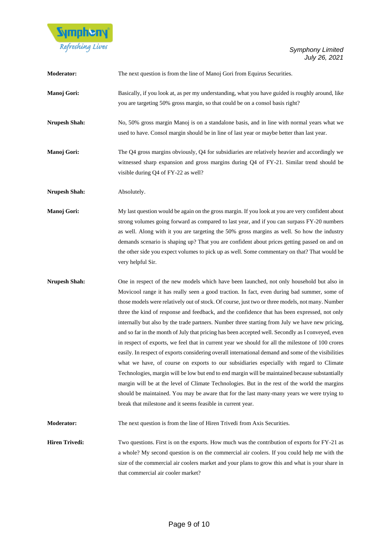

| <b>Moderator:</b>     | The next question is from the line of Manoj Gori from Equirus Securities.                                                                                                                                                                                                                                                                                                                                                                                                                                                                                                                                                                                                                                                                                                                                                                                                                                                                                                                                                                                                                                                                                                                                                                                                      |
|-----------------------|--------------------------------------------------------------------------------------------------------------------------------------------------------------------------------------------------------------------------------------------------------------------------------------------------------------------------------------------------------------------------------------------------------------------------------------------------------------------------------------------------------------------------------------------------------------------------------------------------------------------------------------------------------------------------------------------------------------------------------------------------------------------------------------------------------------------------------------------------------------------------------------------------------------------------------------------------------------------------------------------------------------------------------------------------------------------------------------------------------------------------------------------------------------------------------------------------------------------------------------------------------------------------------|
| Manoj Gori:           | Basically, if you look at, as per my understanding, what you have guided is roughly around, like<br>you are targeting 50% gross margin, so that could be on a consol basis right?                                                                                                                                                                                                                                                                                                                                                                                                                                                                                                                                                                                                                                                                                                                                                                                                                                                                                                                                                                                                                                                                                              |
| <b>Nrupesh Shah:</b>  | No, 50% gross margin Manoj is on a standalone basis, and in line with normal years what we<br>used to have. Consol margin should be in line of last year or maybe better than last year.                                                                                                                                                                                                                                                                                                                                                                                                                                                                                                                                                                                                                                                                                                                                                                                                                                                                                                                                                                                                                                                                                       |
| Manoj Gori:           | The Q4 gross margins obviously, Q4 for subsidiaries are relatively heavier and accordingly we<br>witnessed sharp expansion and gross margins during Q4 of FY-21. Similar trend should be<br>visible during Q4 of FY-22 as well?                                                                                                                                                                                                                                                                                                                                                                                                                                                                                                                                                                                                                                                                                                                                                                                                                                                                                                                                                                                                                                                |
| <b>Nrupesh Shah:</b>  | Absolutely.                                                                                                                                                                                                                                                                                                                                                                                                                                                                                                                                                                                                                                                                                                                                                                                                                                                                                                                                                                                                                                                                                                                                                                                                                                                                    |
| Manoj Gori:           | My last question would be again on the gross margin. If you look at you are very confident about<br>strong volumes going forward as compared to last year, and if you can surpass FY-20 numbers<br>as well. Along with it you are targeting the 50% gross margins as well. So how the industry<br>demands scenario is shaping up? That you are confident about prices getting passed on and on<br>the other side you expect volumes to pick up as well. Some commentary on that? That would be<br>very helpful Sir.                                                                                                                                                                                                                                                                                                                                                                                                                                                                                                                                                                                                                                                                                                                                                            |
| <b>Nrupesh Shah:</b>  | One in respect of the new models which have been launched, not only household but also in<br>Movicool range it has really seen a good traction. In fact, even during bad summer, some of<br>those models were relatively out of stock. Of course, just two or three models, not many. Number<br>three the kind of response and feedback, and the confidence that has been expressed, not only<br>internally but also by the trade partners. Number three starting from July we have new pricing,<br>and so far in the month of July that pricing has been accepted well. Secondly as I conveyed, even<br>in respect of exports, we feel that in current year we should for all the milestone of 100 crores<br>easily. In respect of exports considering overall international demand and some of the visibilities<br>what we have, of course on exports to our subsidiaries especially with regard to Climate<br>Technologies, margin will be low but end to end margin will be maintained because substantially<br>margin will be at the level of Climate Technologies. But in the rest of the world the margins<br>should be maintained. You may be aware that for the last many-many years we were trying to<br>break that milestone and it seems feasible in current year. |
| <b>Moderator:</b>     | The next question is from the line of Hiren Trivedi from Axis Securities.                                                                                                                                                                                                                                                                                                                                                                                                                                                                                                                                                                                                                                                                                                                                                                                                                                                                                                                                                                                                                                                                                                                                                                                                      |
| <b>Hiren Trivedi:</b> | Two questions. First is on the exports. How much was the contribution of exports for FY-21 as<br>a whole? My second question is on the commercial air coolers. If you could help me with the<br>size of the commercial air coolers market and your plans to grow this and what is your share in<br>that commercial air cooler market?                                                                                                                                                                                                                                                                                                                                                                                                                                                                                                                                                                                                                                                                                                                                                                                                                                                                                                                                          |